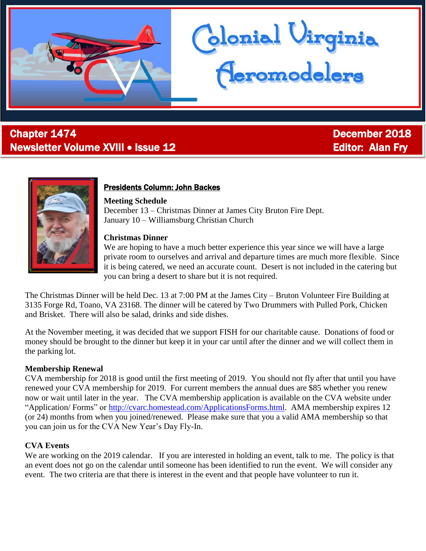

# **Chapter 1474** December 2018 Newsletter Volume XVIII • Issue 12 Editor: Alan Fry



j

### Presidents Column: John Backes

#### **Meeting Schedule**

December 13 – Christmas Dinner at James City Bruton Fire Dept. January 10 – Williamsburg Christian Church

#### **Christmas Dinner**

We are hoping to have a much better experience this year since we will have a large private room to ourselves and arrival and departure times are much more flexible. Since it is being catered, we need an accurate count. Desert is not included in the catering but you can bring a desert to share but it is not required.

blonial Virginia<br>Ceromodelers

The Christmas Dinner will be held Dec. 13 at 7:00 PM at the James City – Bruton Volunteer Fire Building at 3135 Forge Rd, Toano, VA 23168. The dinner will be catered by Two Drummers with Pulled Pork, Chicken and Brisket. There will also be salad, drinks and side dishes.

At the November meeting, it was decided that we support FISH for our charitable cause. Donations of food or money should be brought to the dinner but keep it in your car until after the dinner and we will collect them in the parking lot.

#### **Membership Renewal**

CVA membership for 2018 is good until the first meeting of 2019. You should not fly after that until you have renewed your CVA membership for 2019. For current members the annual dues are \$85 whether you renew now or wait until later in the year. The CVA membership application is available on the CVA website under "Application/ Forms" or [http://cvarc.homestead.com/ApplicationsForms.html.](http://cvarc.homestead.com/ApplicationsForms.html) AMA membership expires 12 (or 24) months from when you joined/renewed. Please make sure that you a valid AMA membership so that you can join us for the CVA New Year's Day Fly-In.

#### **CVA Events**

We are working on the 2019 calendar. If you are interested in holding an event, talk to me. The policy is that an event does not go on the calendar until someone has been identified to run the event. We will consider any event. The two criteria are that there is interest in the event and that people have volunteer to run it.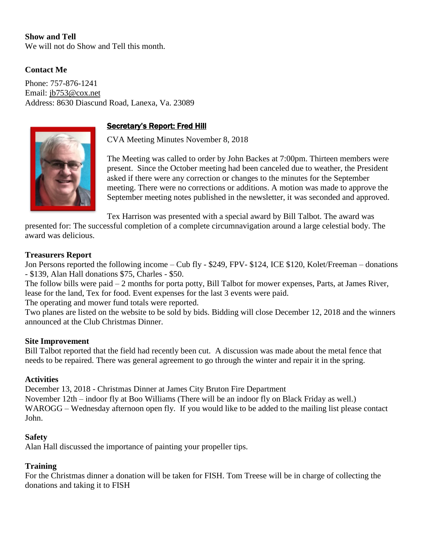### **Show and Tell**

We will not do Show and Tell this month.

#### **Contact Me**

Phone: 757-876-1241 Email: [jb753@cox.net](mailto:jb753@cox.net) Address: 8630 Diascund Road, Lanexa, Va. 23089

#### Secretary's Report: Fred Hill

CVA Meeting Minutes November 8, 2018

The Meeting was called to order by John Backes at 7:00pm. Thirteen members were present. Since the October meeting had been canceled due to weather, the President asked if there were any correction or changes to the minutes for the September meeting. There were no corrections or additions. A motion was made to approve the September meeting notes published in the newsletter, it was seconded and approved.

Tex Harrison was presented with a special award by Bill Talbot. The award was

presented for: The successful completion of a complete circumnavigation around a large celestial body. The award was delicious.

#### **Treasurers Report**

Jon Persons reported the following income – Cub fly - \$249, FPV- \$124, ICE \$120, Kolet/Freeman – donations - \$139, Alan Hall donations \$75, Charles - \$50.

The follow bills were paid – 2 months for porta potty, Bill Talbot for mower expenses, Parts, at James River, lease for the land, Tex for food. Event expenses for the last 3 events were paid.

The operating and mower fund totals were reported.

Two planes are listed on the website to be sold by bids. Bidding will close December 12, 2018 and the winners announced at the Club Christmas Dinner.

#### **Site Improvement**

Bill Talbot reported that the field had recently been cut. A discussion was made about the metal fence that needs to be repaired. There was general agreement to go through the winter and repair it in the spring.

#### **Activities**

December 13, 2018 - Christmas Dinner at James City Bruton Fire Department November 12th – indoor fly at Boo Williams (There will be an indoor fly on Black Friday as well.) WAROGG – Wednesday afternoon open fly. If you would like to be added to the mailing list please contact John.

#### **Safety**

Alan Hall discussed the importance of painting your propeller tips.

#### **Training**

For the Christmas dinner a donation will be taken for FISH. Tom Treese will be in charge of collecting the donations and taking it to FISH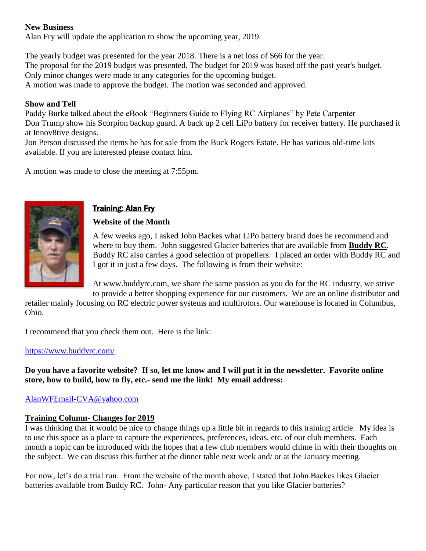#### **New Business**

Alan Fry will update the application to show the upcoming year, 2019.

The yearly budget was presented for the year 2018. There is a net loss of \$66 for the year. The proposal for the 2019 budget was presented. The budget for 2019 was based off the past year's budget. Only minor changes were made to any categories for the upcoming budget. A motion was made to approve the budget. The motion was seconded and approved.

#### **Show and Tell**

Paddy Burke talked about the eBook "Beginners Guide to Flying RC Airplanes" by Pete Carpenter Don Trump show his Scorpion backup guard. A back up 2 cell LiPo battery for receiver battery. He purchased it at Innov8tive designs.

Jon Person discussed the items he has for sale from the Buck Rogers Estate. He has various old-time kits available. If you are interested please contact him.

A motion was made to close the meeting at 7:55pm.



## Training: Alan Fry

### **Website of the Month**

A few weeks ago, I asked John Backes what LiPo battery brand does he recommend and where to buy them. John suggested Glacier batteries that are available from **Buddy RC**. Buddy RC also carries a good selection of propellers. I placed an order with Buddy RC and I got it in just a few days. The following is from their website:

At www.buddyrc.com, we share the same passion as you do for the RC industry, we strive to provide a better shopping experience for our customers. We are an online distributor and

retailer mainly focusing on RC electric power systems and multirotors. Our warehouse is located in Columbus, Ohio.

I recommend that you check them out. Here is the link:

#### <https://www.buddyrc.com/>

**Do you have a favorite website? If so, let me know and I will put it in the newsletter. Favorite online store, how to build, how to fly, etc.- send me the link! My email address:**

#### [AlanWFEmail-CVA@yahoo.com](mailto:AlanWFEmail-CVA@yahoo.com)

#### **Training Column- Changes for 2019**

I was thinking that it would be nice to change things up a little bit in regards to this training article. My idea is to use this space as a place to capture the experiences, preferences, ideas, etc. of our club members. Each month a topic can be introduced with the hopes that a few club members would chime in with their thoughts on the subject. We can discuss this further at the dinner table next week and/ or at the January meeting.

For now, let's do a trial run. From the website of the month above, I stated that John Backes likes Glacier batteries available from Buddy RC. John- Any particular reason that you like Glacier batteries?